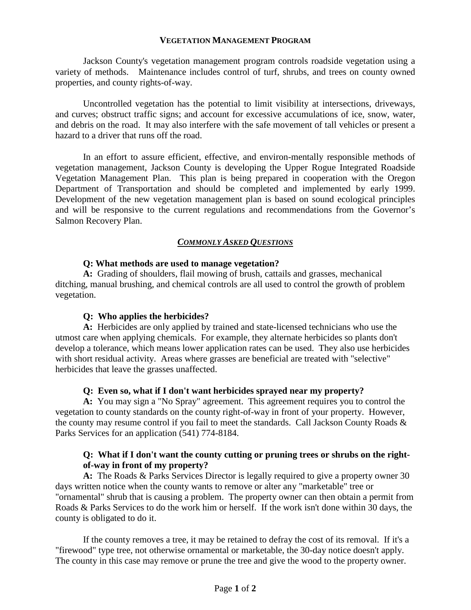### **VEGETATION MANAGEMENT PROGRAM**

Jackson County's vegetation management program controls roadside vegetation using a variety of methods. Maintenance includes control of turf, shrubs, and trees on county owned properties, and county rights-of-way.

Uncontrolled vegetation has the potential to limit visibility at intersections, driveways, and curves; obstruct traffic signs; and account for excessive accumulations of ice, snow, water, and debris on the road. It may also interfere with the safe movement of tall vehicles or present a hazard to a driver that runs off the road.

In an effort to assure efficient, effective, and environ-mentally responsible methods of vegetation management, Jackson County is developing the Upper Rogue Integrated Roadside Vegetation Management Plan. This plan is being prepared in cooperation with the Oregon Department of Transportation and should be completed and implemented by early 1999. Development of the new vegetation management plan is based on sound ecological principles and will be responsive to the current regulations and recommendations from the Governor's Salmon Recovery Plan.

### *COMMONLY ASKED QUESTIONS*

### **Q: What methods are used to manage vegetation?**

**A:** Grading of shoulders, flail mowing of brush, cattails and grasses, mechanical ditching, manual brushing, and chemical controls are all used to control the growth of problem vegetation.

### **Q: Who applies the herbicides?**

**A:** Herbicides are only applied by trained and state-licensed technicians who use the utmost care when applying chemicals. For example, they alternate herbicides so plants don't develop a tolerance, which means lower application rates can be used. They also use herbicides with short residual activity. Areas where grasses are beneficial are treated with "selective" herbicides that leave the grasses unaffected.

### **Q: Even so, what if I don't want herbicides sprayed near my property?**

**A:** You may sign a "No Spray" agreement. This agreement requires you to control the vegetation to county standards on the county right-of-way in front of your property. However, the county may resume control if you fail to meet the standards. Call Jackson County Roads & Parks Services for an application (541) 774-8184.

### **Q: What if I don't want the county cutting or pruning trees or shrubs on the rightof-way in front of my property?**

**A:** The Roads & Parks Services Director is legally required to give a property owner 30 days written notice when the county wants to remove or alter any "marketable" tree or "ornamental" shrub that is causing a problem. The property owner can then obtain a permit from Roads & Parks Services to do the work him or herself. If the work isn't done within 30 days, the county is obligated to do it.

If the county removes a tree, it may be retained to defray the cost of its removal. If it's a "firewood" type tree, not otherwise ornamental or marketable, the 30-day notice doesn't apply. The county in this case may remove or prune the tree and give the wood to the property owner.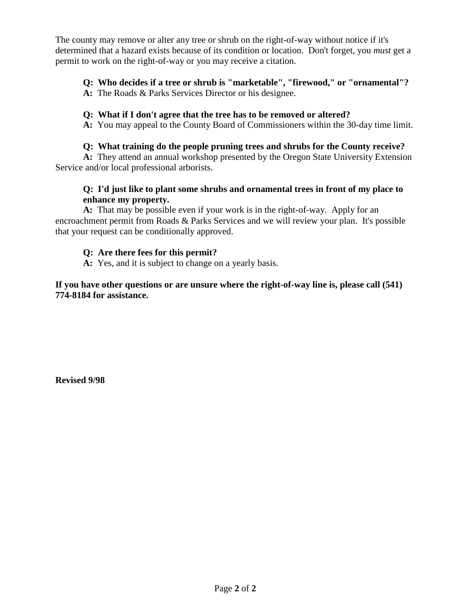The county may remove or alter any tree or shrub on the right-of-way without notice if it's determined that a hazard exists because of its condition or location. Don't forget, you *must* get a permit to work on the right-of-way or you may receive a citation.

# **Q: Who decides if a tree or shrub is "marketable", "firewood," or "ornamental"?**

**A:** The Roads & Parks Services Director or his designee.

## **Q: What if I don't agree that the tree has to be removed or altered?**

**A:** You may appeal to the County Board of Commissioners within the 30-day time limit.

## **Q: What training do the people pruning trees and shrubs for the County receive?**

**A:** They attend an annual workshop presented by the Oregon State University Extension Service and/or local professional arborists.

## **Q: I'd just like to plant some shrubs and ornamental trees in front of my place to enhance my property.**

**A:** That may be possible even if your work is in the right-of-way. Apply for an encroachment permit from Roads & Parks Services and we will review your plan. It's possible that your request can be conditionally approved.

## **Q: Are there fees for this permit?**

**A:** Yes, and it is subject to change on a yearly basis.

**If you have other questions or are unsure where the right-of-way line is, please call (541) 774-8184 for assistance.**

**Revised 9/98**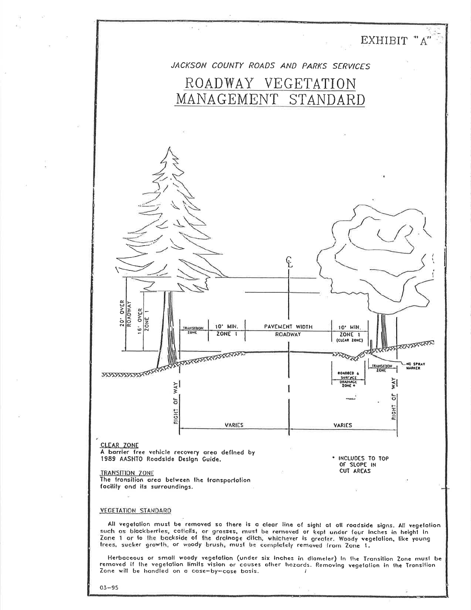

 $03 - 95$